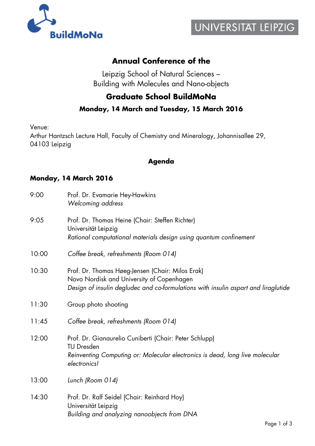

# **Annual Conference of the**

Leipzig School of Natural Sciences – Building with Molecules and Nano-objects

## **Graduate School BuildMoNa**

### **Monday, 14 March and Tuesday, 15 March 2016**

Venue:

Arthur Hantzsch Lecture Hall, Faculty of Chemistry and Mineralogy, Johannisallee 29, 04103 Leipzig

#### **Agenda**

#### **Monday, 14 March 2016**

| 9:00  | Prof. Dr. Evamarie Hey-Hawkins<br>Welcoming address                                                                                                                                 |
|-------|-------------------------------------------------------------------------------------------------------------------------------------------------------------------------------------|
| 9:05  | Prof. Dr. Thomas Heine (Chair: Steffen Richter)<br>Universität Leipzig<br>Rational computational materials design using quantum confinement                                         |
| 10:00 | Coffee break, refreshments (Room 014)                                                                                                                                               |
| 10:30 | Prof. Dr. Thomas Høeg-Jensen (Chair: Milos Erak)<br>Novo Nordisk and University of Copenhagen<br>Design of insulin degludec and co-formulations with insulin aspart and liraglutide |
| 11:30 | Group photo shooting                                                                                                                                                                |
| 11:45 | Coffee break, refreshments (Room 014)                                                                                                                                               |
| 12:00 | Prof. Dr. Gianaurelio Cuniberti (Chair: Peter Schlupp)<br><b>TU Dresden</b><br>Reinventing Computing or: Molecular electronics is dead, long live molecular<br>electronics!         |
| 13:00 | Lunch (Room 014)                                                                                                                                                                    |
| 14:30 | Prof. Dr. Ralf Seidel (Chair: Reinhard Hoy)<br>Universität Leipzig<br>Building and analyzing nanoobjects from DNA                                                                   |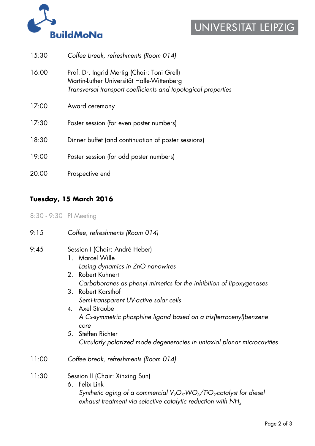

# UNIVERSITAT LEIPZIG

| 15:30 | Coffee break, refreshments (Room 014)                                                                                                                      |
|-------|------------------------------------------------------------------------------------------------------------------------------------------------------------|
| 16:00 | Prof. Dr. Ingrid Mertig (Chair: Toni Grell)<br>Martin-Luther Universität Halle-Wittenberg<br>Transversal transport coefficients and topological properties |
| 17:00 | Award ceremony                                                                                                                                             |
| 17:30 | Poster session (for even poster numbers)                                                                                                                   |
| 18:30 | Dinner buffet (and continuation of poster sessions)                                                                                                        |
| 19:00 | Poster session (for odd poster numbers)                                                                                                                    |
| 20:00 | Prospective end                                                                                                                                            |

## **Tuesday, 15 March 2016**

8:30 - 9:30 PI Meeting

- 9:15 *Coffee, refreshments (Room 014)*
- 9:45 Session I (Chair: André Heber) 1. Marcel Wille
	- *Lasing dynamics in ZnO nanowires*
	- 2. Robert Kuhnert  *Carbaboranes as phenyl mimetics for the inhibition of lipoxygenases*
	- 3. Robert Karsthof  *Semi-transparent UV-active solar cells*
	- 4. Axel Straube  *A C3-symmetric phosphine ligand based on a tris(ferrocenyl)benzene core*
	- 5. Steffen Richter  *Circularly polarized mode degeneracies in uniaxial planar microcavities*
- 11:00 *Coffee break, refreshments (Room 014)*
- 11:30 Session II (Chair: Xinxing Sun)
	- 6. Felix Link *Synthetic aging of a commercial V<sub>2</sub>O<sub>5</sub>-WO<sub>3</sub>/TiO<sub>2</sub>-catalyst for diesel exhaust treatment via selective catalytic reduction with NH3*